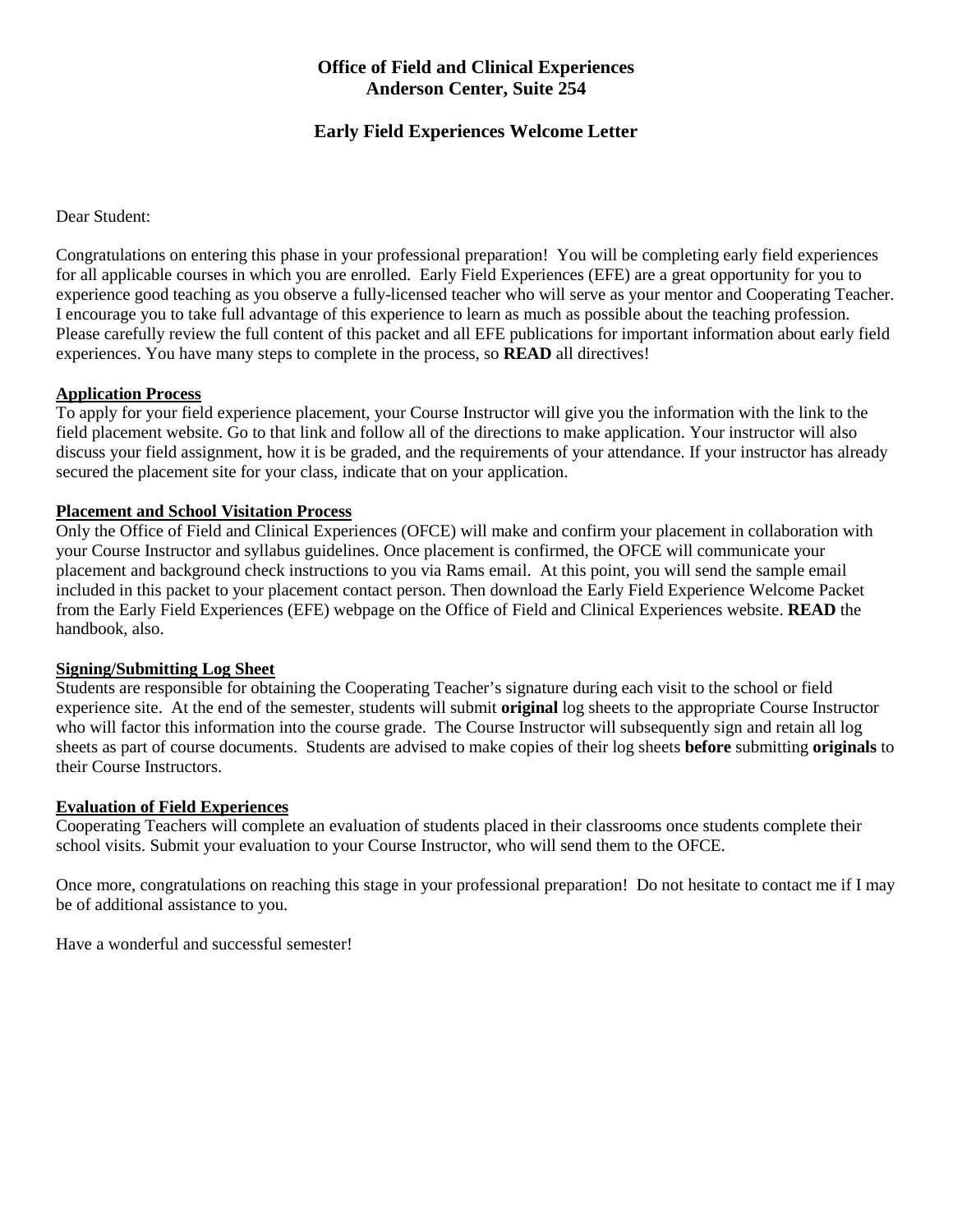## **Office of Field and Clinical Experiences Anderson Center, Suite 254**

## **Early Field Experiences Welcome Letter**

Dear Student:

Congratulations on entering this phase in your professional preparation! You will be completing early field experiences for all applicable courses in which you are enrolled. Early Field Experiences (EFE) are a great opportunity for you to experience good teaching as you observe a fully-licensed teacher who will serve as your mentor and Cooperating Teacher. I encourage you to take full advantage of this experience to learn as much as possible about the teaching profession. Please carefully review the full content of this packet and all EFE publications for important information about early field experiences. You have many steps to complete in the process, so **READ** all directives!

### **Application Process**

To apply for your field experience placement, your Course Instructor will give you the information with the link to the field placement website. Go to that link and follow all of the directions to make application. Your instructor will also discuss your field assignment, how it is be graded, and the requirements of your attendance. If your instructor has already secured the placement site for your class, indicate that on your application.

### **Placement and School Visitation Process**

Only the Office of Field and Clinical Experiences (OFCE) will make and confirm your placement in collaboration with your Course Instructor and syllabus guidelines. Once placement is confirmed, the OFCE will communicate your placement and background check instructions to you via Rams email. At this point, you will send the sample email included in this packet to your placement contact person. Then download the Early Field Experience Welcome Packet from the Early Field Experiences (EFE) webpage on the Office of Field and Clinical Experiences website. **READ** the handbook, also.

### **Signing/Submitting Log Sheet**

Students are responsible for obtaining the Cooperating Teacher's signature during each visit to the school or field experience site. At the end of the semester, students will submit **original** log sheets to the appropriate Course Instructor who will factor this information into the course grade. The Course Instructor will subsequently sign and retain all log sheets as part of course documents. Students are advised to make copies of their log sheets **before** submitting **originals** to their Course Instructors.

### **Evaluation of Field Experiences**

Cooperating Teachers will complete an evaluation of students placed in their classrooms once students complete their school visits. Submit your evaluation to your Course Instructor, who will send them to the OFCE.

Once more, congratulations on reaching this stage in your professional preparation! Do not hesitate to contact me if I may be of additional assistance to you.

Have a wonderful and successful semester!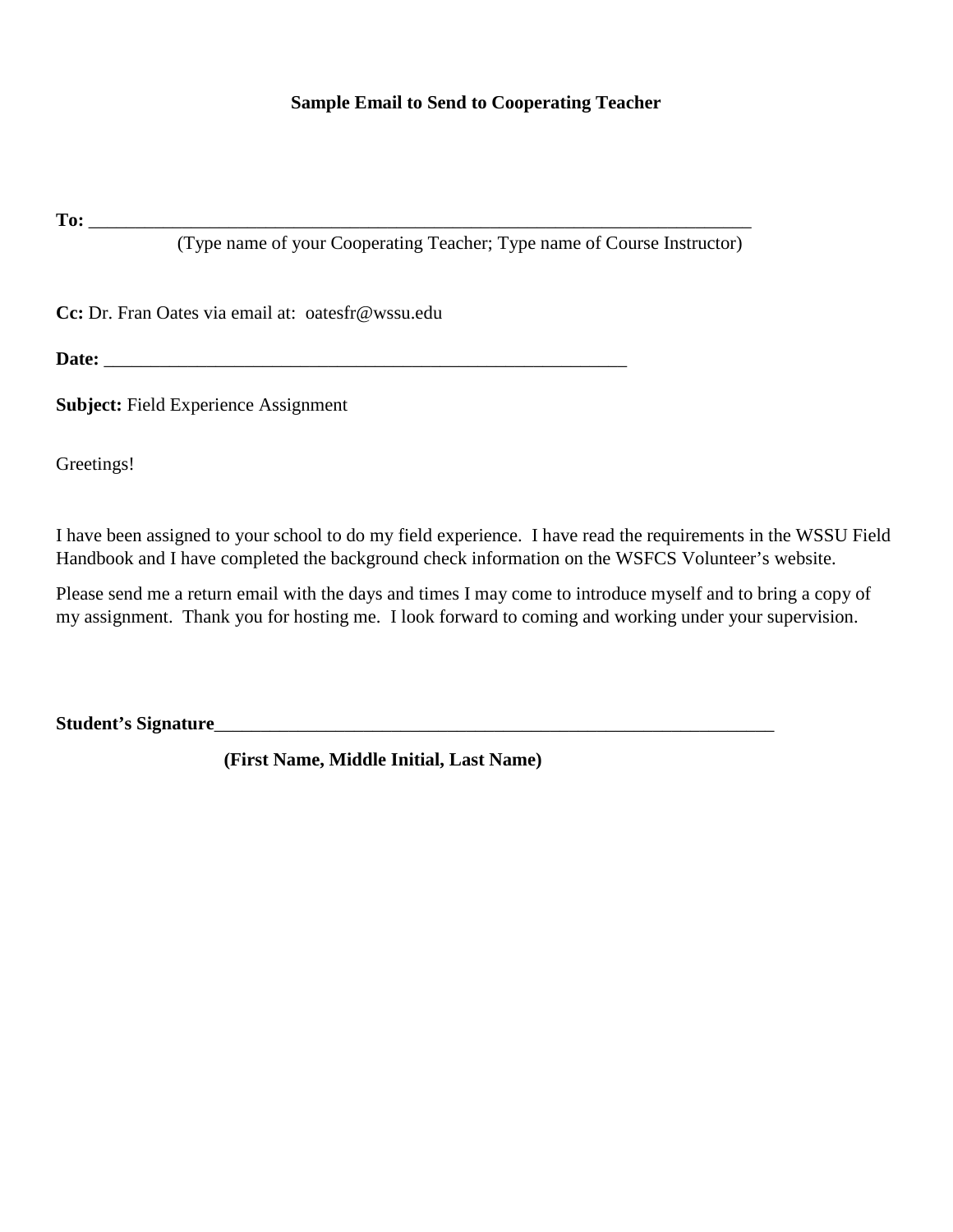## **Sample Email to Send to Cooperating Teacher**

**To:**  $\blacksquare$ 

(Type name of your Cooperating Teacher; Type name of Course Instructor)

**Cc:** Dr. Fran Oates via email at: oatesfr@wssu.edu

**Date:** \_\_\_\_\_\_\_\_\_\_\_\_\_\_\_\_\_\_\_\_\_\_\_\_\_\_\_\_\_\_\_\_\_\_\_\_\_\_\_\_\_\_\_\_\_\_\_\_\_\_\_\_\_\_\_\_

**Subject:** Field Experience Assignment

Greetings!

I have been assigned to your school to do my field experience. I have read the requirements in the WSSU Field Handbook and I have completed the background check information on the WSFCS Volunteer's website.

Please send me a return email with the days and times I may come to introduce myself and to bring a copy of my assignment. Thank you for hosting me. I look forward to coming and working under your supervision.

**Student's Signature**\_\_\_\_\_\_\_\_\_\_\_\_\_\_\_\_\_\_\_\_\_\_\_\_\_\_\_\_\_\_\_\_\_\_\_\_\_\_\_\_\_\_\_\_\_\_\_\_\_\_\_\_\_\_\_\_\_\_\_\_

**(First Name, Middle Initial, Last Name)**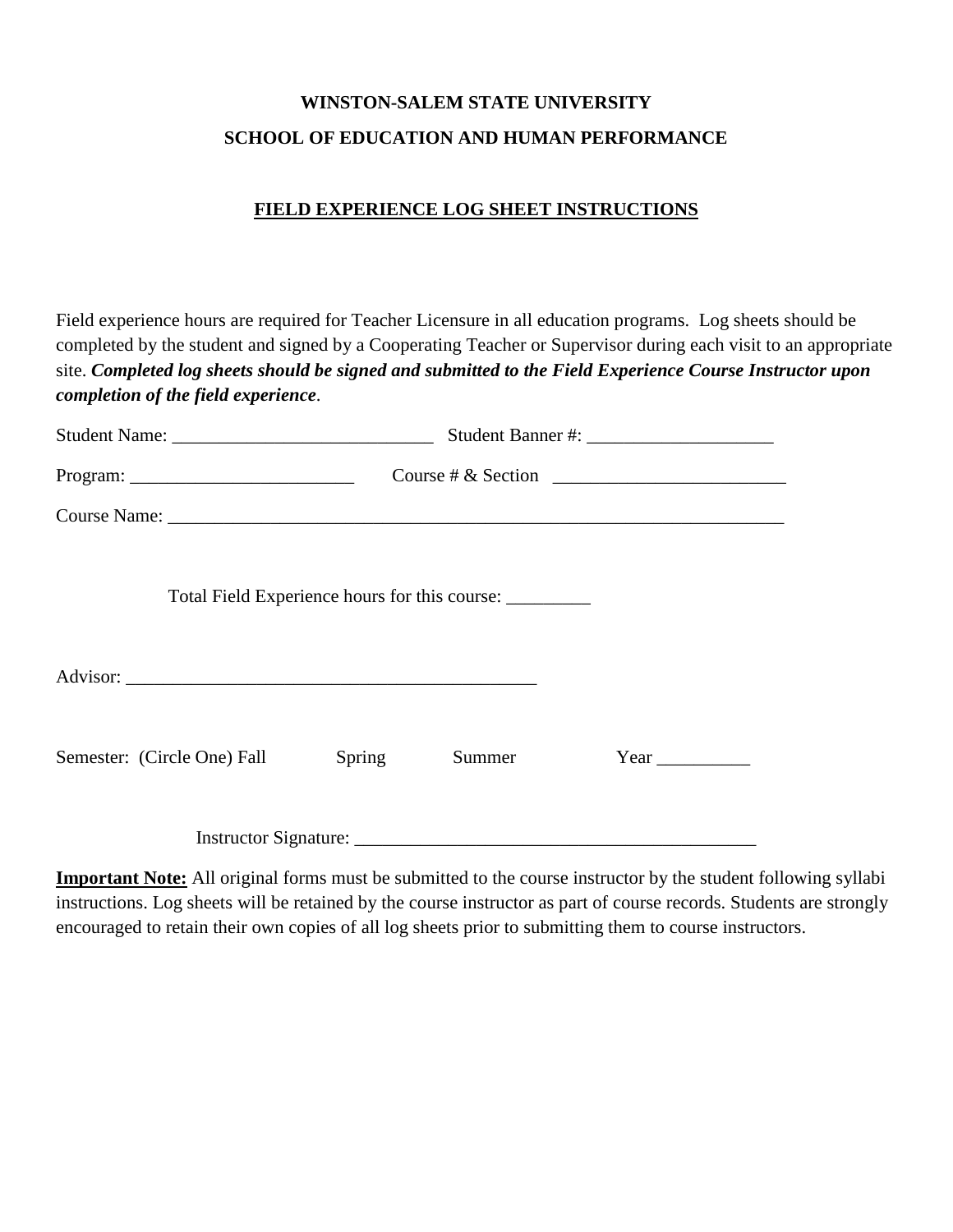## **WINSTON-SALEM STATE UNIVERSITY SCHOOL OF EDUCATION AND HUMAN PERFORMANCE**

## **FIELD EXPERIENCE LOG SHEET INSTRUCTIONS**

Field experience hours are required for Teacher Licensure in all education programs. Log sheets should be completed by the student and signed by a Cooperating Teacher or Supervisor during each visit to an appropriate site. *Completed log sheets should be signed and submitted to the Field Experience Course Instructor upon completion of the field experience*.

|                             |        |                                                         | Course # & Section $\overline{\qquad \qquad }$ |
|-----------------------------|--------|---------------------------------------------------------|------------------------------------------------|
|                             |        |                                                         |                                                |
|                             |        | Total Field Experience hours for this course: _________ |                                                |
|                             |        |                                                         |                                                |
| Semester: (Circle One) Fall | Spring | Summer                                                  |                                                |
|                             |        |                                                         |                                                |

**Important Note:** All original forms must be submitted to the course instructor by the student following syllabi instructions. Log sheets will be retained by the course instructor as part of course records. Students are strongly encouraged to retain their own copies of all log sheets prior to submitting them to course instructors.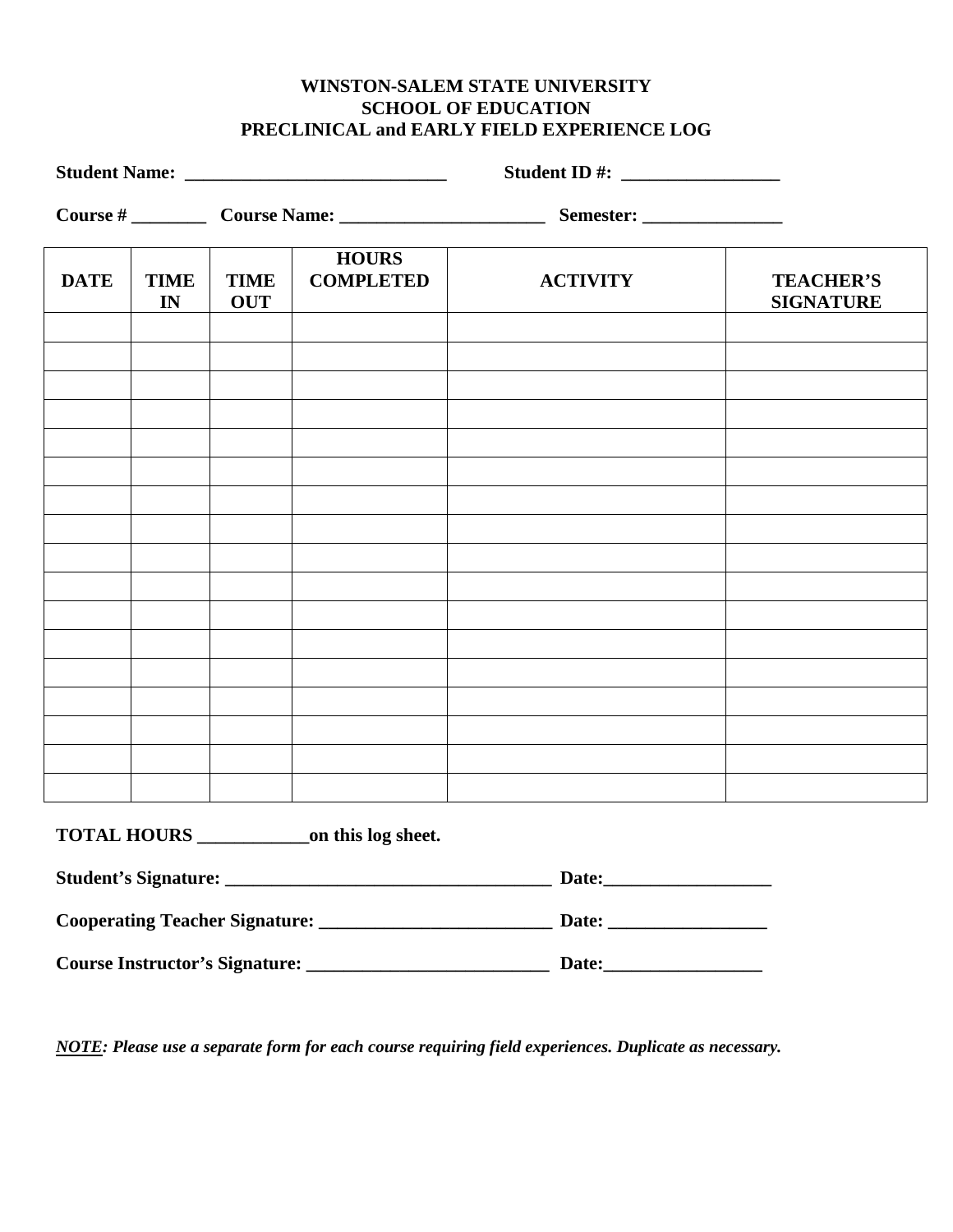## **WINSTON-SALEM STATE UNIVERSITY SCHOOL OF EDUCATION PRECLINICAL and EARLY FIELD EXPERIENCE LOG**

| <b>DATE</b> | <b>TIME</b><br>IN | <b>TIME</b><br><b>OUT</b> | <b>HOURS</b><br><b>COMPLETED</b> | <b>ACTIVITY</b> | <b>TEACHER'S</b><br><b>SIGNATURE</b> |
|-------------|-------------------|---------------------------|----------------------------------|-----------------|--------------------------------------|
|             |                   |                           |                                  |                 |                                      |
|             |                   |                           |                                  |                 |                                      |
|             |                   |                           |                                  |                 |                                      |
|             |                   |                           |                                  |                 |                                      |
|             |                   |                           |                                  |                 |                                      |
|             |                   |                           |                                  |                 |                                      |
|             |                   |                           |                                  |                 |                                      |
|             |                   |                           |                                  |                 |                                      |
|             |                   |                           |                                  |                 |                                      |
|             |                   |                           |                                  |                 |                                      |
|             |                   |                           |                                  |                 |                                      |
|             |                   |                           |                                  |                 |                                      |
|             |                   |                           |                                  |                 |                                      |

**TOTAL HOURS \_\_\_\_\_\_\_\_\_\_\_\_on this log sheet.** 

| <b>Student's Signature:</b>           | Date: |
|---------------------------------------|-------|
| <b>Cooperating Teacher Signature:</b> | Date: |
| <b>Course Instructor's Signature:</b> | Date: |

*NOTE: Please use a separate form for each course requiring field experiences. Duplicate as necessary.*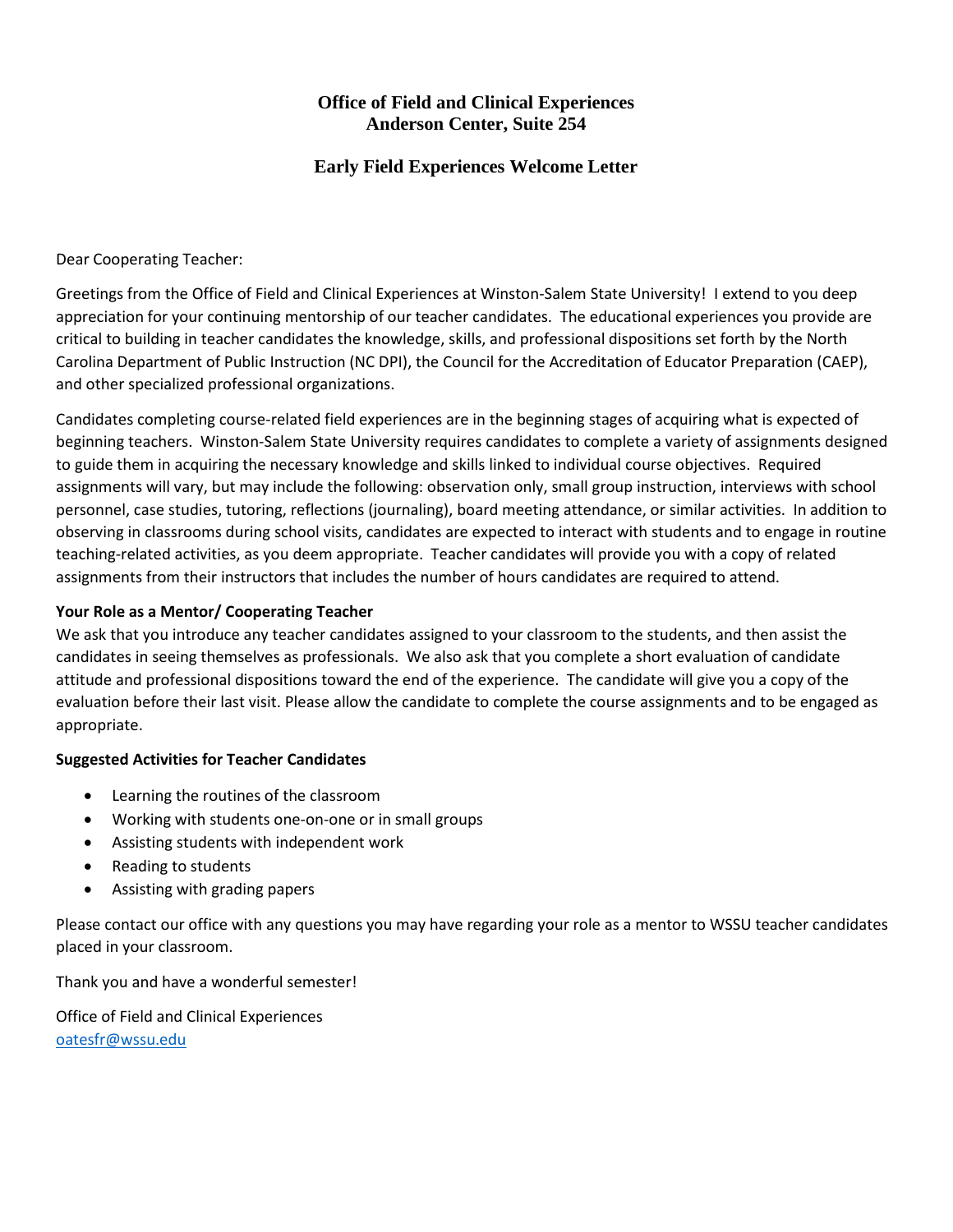## **Office of Field and Clinical Experiences Anderson Center, Suite 254**

## **Early Field Experiences Welcome Letter**

Dear Cooperating Teacher:

Greetings from the Office of Field and Clinical Experiences at Winston-Salem State University! I extend to you deep appreciation for your continuing mentorship of our teacher candidates. The educational experiences you provide are critical to building in teacher candidates the knowledge, skills, and professional dispositions set forth by the North Carolina Department of Public Instruction (NC DPI), the Council for the Accreditation of Educator Preparation (CAEP), and other specialized professional organizations.

Candidates completing course-related field experiences are in the beginning stages of acquiring what is expected of beginning teachers. Winston-Salem State University requires candidates to complete a variety of assignments designed to guide them in acquiring the necessary knowledge and skills linked to individual course objectives. Required assignments will vary, but may include the following: observation only, small group instruction, interviews with school personnel, case studies, tutoring, reflections (journaling), board meeting attendance, or similar activities. In addition to observing in classrooms during school visits, candidates are expected to interact with students and to engage in routine teaching-related activities, as you deem appropriate. Teacher candidates will provide you with a copy of related assignments from their instructors that includes the number of hours candidates are required to attend.

## **Your Role as a Mentor/ Cooperating Teacher**

We ask that you introduce any teacher candidates assigned to your classroom to the students, and then assist the candidates in seeing themselves as professionals. We also ask that you complete a short evaluation of candidate attitude and professional dispositions toward the end of the experience. The candidate will give you a copy of the evaluation before their last visit. Please allow the candidate to complete the course assignments and to be engaged as appropriate.

### **Suggested Activities for Teacher Candidates**

- Learning the routines of the classroom
- Working with students one-on-one or in small groups
- Assisting students with independent work
- Reading to students
- Assisting with grading papers

Please contact our office with any questions you may have regarding your role as a mentor to WSSU teacher candidates placed in your classroom.

Thank you and have a wonderful semester!

Office of Field and Clinical Experiences [oatesfr@wssu.edu](mailto:oatesfr@wssu.edu)